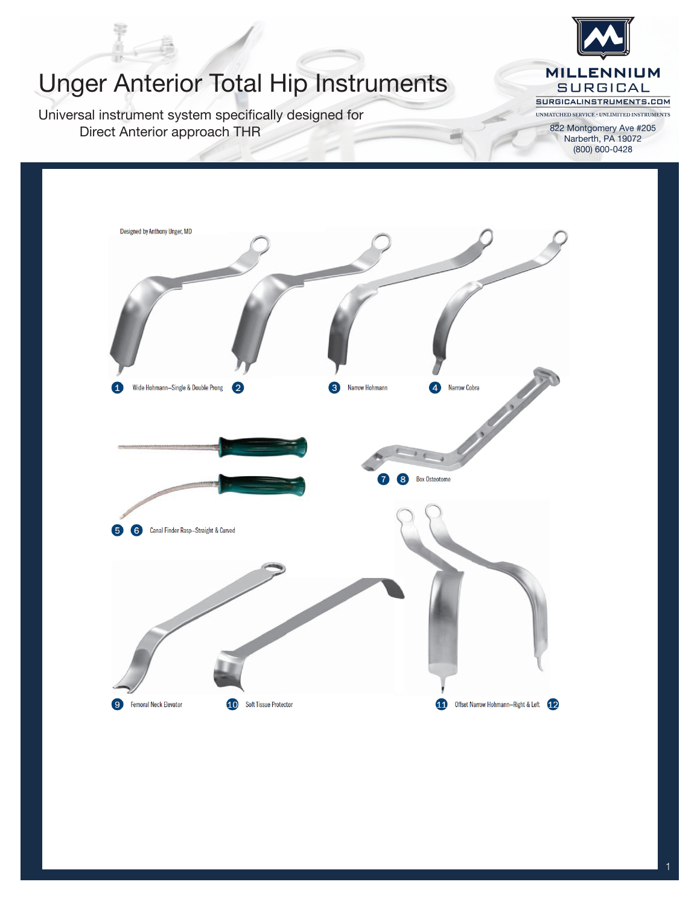

822 Montgomery Ave #205 Narberth, PA 19072 (800) 600-0428

## Unger Anterior Total Hip Instruments

Universal instrument system specifically designed for Direct Anterior approach THR